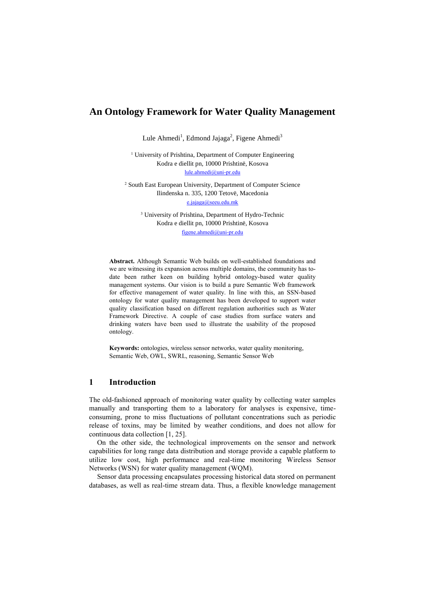# **An Ontology Framework for Water Quality Management**

Lule Ahmedi<sup>1</sup>, Edmond Jajaga<sup>2</sup>, Figene Ahmedi<sup>3</sup>

<sup>1</sup> University of Prishtina, Department of Computer Engineering Kodra e diellit pn, 10000 Prishtinë, Kosova lule.ahme[di@uni-pr.edu](mailto:%7d@uni-pr.edu)

<sup>2</sup> South East European University, Department of Computer Science Ilindenska n. 335, 1200 Tetovë, Macedonia [e.jajaga@seeu.edu.mk](mailto:e.jajaga@seeu.edu.mk)

<sup>3</sup> University of Prishtina, Department of Hydro-Technic Kodra e diellit pn, 10000 Prishtinë, Kosova figene.ahme[di@uni-pr.edu](mailto:%7d@uni-pr.edu)

**Abstract.** Although Semantic Web builds on well-established foundations and we are witnessing its expansion across multiple domains, the community has todate been rather keen on building hybrid ontology-based water quality management systems. Our vision is to build a pure Semantic Web framework for effective management of water quality. In line with this, an SSN-based ontology for water quality management has been developed to support water quality classification based on different regulation authorities such as Water Framework Directive. A couple of case studies from surface waters and drinking waters have been used to illustrate the usability of the proposed ontology.

**Keywords:** ontologies, wireless sensor networks, water quality monitoring, Semantic Web, OWL, SWRL, reasoning, Semantic Sensor Web

# **1 Introduction**

The old-fashioned approach of monitoring water quality by collecting water samples manually and transporting them to a laboratory for analyses is expensive, timeconsuming, prone to miss fluctuations of pollutant concentrations such as periodic release of toxins, may be limited by weather conditions, and does not allow for continuous data collection [1, 25].

On the other side, the technological improvements on the sensor and network capabilities for long range data distribution and storage provide a capable platform to utilize low cost, high performance and real-time monitoring Wireless Sensor Networks (WSN) for water quality management (WQM).

Sensor data processing encapsulates processing historical data stored on permanent databases, as well as real-time stream data. Thus, a flexible knowledge management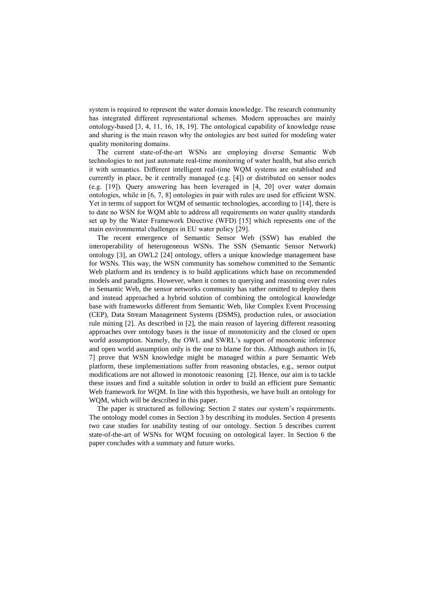system is required to represent the water domain knowledge. The research community has integrated different representational schemes. Modern approaches are mainly ontology-based [3, 4, 11, 16, 18, 19]. The ontological capability of knowledge reuse and sharing is the main reason why the ontologies are best suited for modeling water quality monitoring domains.

The current state-of-the-art WSNs are employing diverse Semantic Web technologies to not just automate real-time monitoring of water health, but also enrich it with semantics. Different intelligent real-time WQM systems are established and currently in place, be it centrally managed (e.g. [4]) or distributed on sensor nodes (e.g. [19]). Query answering has been leveraged in [4, 20] over water domain ontologies, while in [6, 7, 8] ontologies in pair with rules are used for efficient WSN. Yet in terms of support for WQM of semantic technologies, according to [14], there is to date no WSN for WQM able to address all requirements on water quality standards set up by the Water Framework Directive (WFD) [15] which represents one of the main environmental challenges in EU water policy [29].

The recent emergence of Semantic Sensor Web (SSW) has enabled the interoperability of heterogeneous WSNs. The SSN (Semantic Sensor Network) ontology [3], an OWL2 [24] ontology, offers a unique knowledge management base for WSNs. This way, the WSN community has somehow committed to the Semantic Web platform and its tendency is to build applications which base on recommended models and paradigms. However, when it comes to querying and reasoning over rules in Semantic Web, the sensor networks community has rather omitted to deploy them and instead approached a hybrid solution of combining the ontological knowledge base with frameworks different from Semantic Web, like Complex Event Processing (CEP), Data Stream Management Systems (DSMS), production rules, or association rule mining [2]. As described in [2], the main reason of layering different reasoning approaches over ontology bases is the issue of monotonicity and the closed or open world assumption. Namely, the OWL and SWRL's support of monotonic inference and open world assumption only is the one to blame for this. Although authors in [6, 7] prove that WSN knowledge might be managed within a pure Semantic Web platform, these implementations suffer from reasoning obstacles, e.g., sensor output modifications are not allowed in monotonic reasoning [2]. Hence, our aim is to tackle these issues and find a suitable solution in order to build an efficient pure Semantic Web framework for WQM. In line with this hypothesis, we have built an ontology for WQM, which will be described in this paper.

The paper is structured as following: Section 2 states our system's requirements. The ontology model comes in Section 3 by describing its modules. Section 4 presents two case studies for usability testing of our ontology. Section 5 describes current state-of-the-art of WSNs for WQM focusing on ontological layer. In Section 6 the paper concludes with a summary and future works.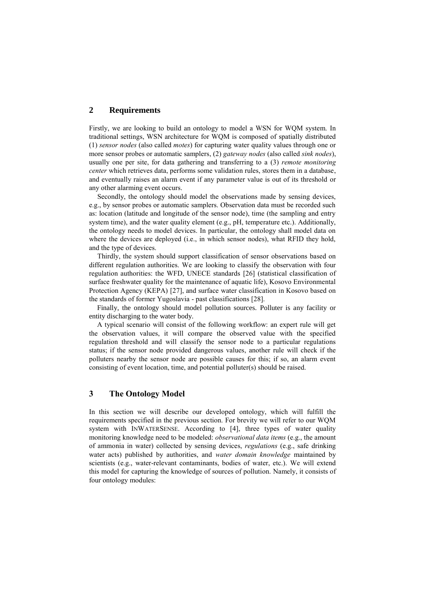# **2 Requirements**

Firstly, we are looking to build an ontology to model a WSN for WQM system. In traditional settings, WSN architecture for WQM is composed of spatially distributed (1) *sensor nodes* (also called *motes*) for capturing water quality values through one or more sensor probes or automatic samplers, (2) *gateway nodes* (also called *sink nodes*), usually one per site, for data gathering and transferring to a (3) *remote monitoring center* which retrieves data, performs some validation rules, stores them in a database, and eventually raises an alarm event if any parameter value is out of its threshold or any other alarming event occurs.

Secondly, the ontology should model the observations made by sensing devices, e.g., by sensor probes or automatic samplers. Observation data must be recorded such as: location (latitude and longitude of the sensor node), time (the sampling and entry system time), and the water quality element (e.g., pH, temperature etc.). Additionally, the ontology needs to model devices. In particular, the ontology shall model data on where the devices are deployed (i.e., in which sensor nodes), what RFID they hold, and the type of devices.

Thirdly, the system should support classification of sensor observations based on different regulation authorities. We are looking to classify the observation with four regulation authorities: the WFD, UNECE standards [26] (statistical classification of surface freshwater quality for the maintenance of aquatic life), Kosovo Environmental Protection Agency (KEPA) [27], and surface water classification in Kosovo based on the standards of former Yugoslavia - past classifications [28].

Finally, the ontology should model pollution sources. Polluter is any facility or entity discharging to the water body.

A typical scenario will consist of the following workflow: an expert rule will get the observation values, it will compare the observed value with the specified regulation threshold and will classify the sensor node to a particular regulations status; if the sensor node provided dangerous values, another rule will check if the polluters nearby the sensor node are possible causes for this; if so, an alarm event consisting of event location, time, and potential polluter(s) should be raised.

# **3 The Ontology Model**

In this section we will describe our developed ontology, which will fulfill the requirements specified in the previous section. For brevity we will refer to our WQM system with INWATERSENSE. According to [4], three types of water quality monitoring knowledge need to be modeled: *observational data items* (e.g., the amount of ammonia in water) collected by sensing devices, *regulations* (e.g., safe drinking water acts) published by authorities, and *water domain knowledge* maintained by scientists (e.g., water-relevant contaminants, bodies of water, etc.). We will extend this model for capturing the knowledge of sources of pollution. Namely, it consists of four ontology modules: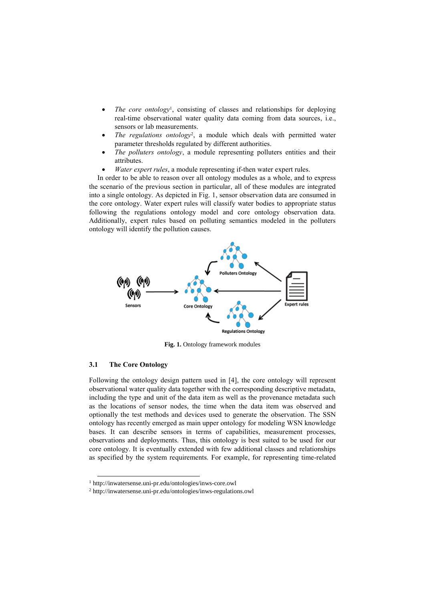- *The core ontology<sup>1</sup>*, consisting of classes and relationships for deploying real-time observational water quality data coming from data sources, i.e., sensors or lab measurements.
- *The regulations ontology*<sup>2</sup> , a module which deals with permitted water parameter thresholds regulated by different authorities.
- *The polluters ontology*, a module representing polluters entities and their attributes.
- *Water expert rules*, a module representing if-then water expert rules.

In order to be able to reason over all ontology modules as a whole, and to express the scenario of the previous section in particular, all of these modules are integrated into a single ontology. As depicted in Fig. 1, sensor observation data are consumed in the core ontology. Water expert rules will classify water bodies to appropriate status following the regulations ontology model and core ontology observation data. Additionally, expert rules based on polluting semantics modeled in the polluters ontology will identify the pollution causes.



**Fig. 1.** Ontology framework modules

### **3.1 The Core Ontology**

1

Following the ontology design pattern used in [4], the core ontology will represent observational water quality data together with the corresponding descriptive metadata, including the type and unit of the data item as well as the provenance metadata such as the locations of sensor nodes, the time when the data item was observed and optionally the test methods and devices used to generate the observation. The SSN ontology has recently emerged as main upper ontology for modeling WSN knowledge bases. It can describe sensors in terms of capabilities, measurement processes, observations and deployments. Thus, this ontology is best suited to be used for our core ontology. It is eventually extended with few additional classes and relationships as specified by the system requirements. For example, for representing time-related

<sup>1</sup> http://inwatersense.uni-pr.edu/ontologies/inws-core.owl

<sup>2</sup> http://inwatersense.uni-pr.edu/ontologies/inws-regulations.owl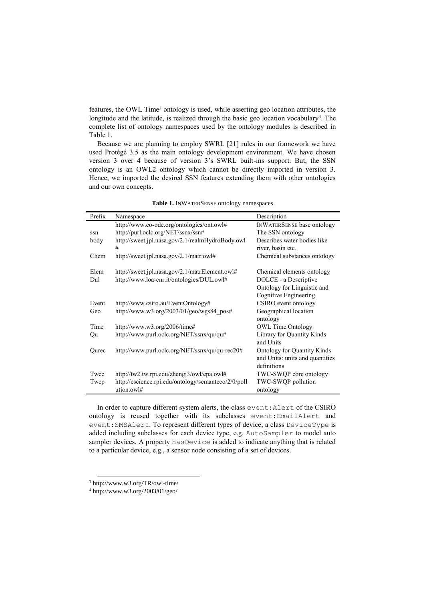features, the OWL Time<sup>3</sup> ontology is used, while asserting geo location attributes, the longitude and the latitude, is realized through the basic geo location vocabulary<sup>4</sup>. The complete list of ontology namespaces used by the ontology modules is described in Table 1.

Because we are planning to employ SWRL [21] rules in our framework we have used Protégé 3.5 as the main ontology development environment. We have chosen version 3 over 4 because of version 3's SWRL built-ins support. But, the SSN ontology is an OWL2 ontology which cannot be directly imported in version 3. Hence, we imported the desired SSN features extending them with other ontologies and our own concepts.

| Prefix | Namespace                                           | Description                        |
|--------|-----------------------------------------------------|------------------------------------|
|        | http://www.co-ode.org/ontologies/ont.owl#           | <b>INWATERSENSE base ontology</b>  |
| ssn    | http://purl.oclc.org/NET/ssnx/ssn#                  | The SSN ontology                   |
| body   | http://sweet.jpl.nasa.gov/2.1/realmHydroBody.owl    | Describes water bodies like        |
|        | #                                                   | river, basin etc.                  |
| Chem   | http://sweet.jpl.nasa.gov/2.1/matr.owl#             | Chemical substances ontology       |
|        |                                                     |                                    |
| Elem   | http://sweet.jpl.nasa.gov/2.1/matrElement.owl#      | Chemical elements ontology         |
| Dul    | http://www.loa-cnr.it/ontologies/DUL.owl#           | DOLCE - a Descriptive              |
|        |                                                     | Ontology for Linguistic and        |
|        |                                                     | Cognitive Engineering              |
| Event  | http://www.csiro.au/EventOntology#                  | CSIRO event ontology               |
| Geo    | http://www.w3.org/2003/01/geo/wgs84 pos#            | Geographical location              |
|        |                                                     | ontology                           |
| Time   | http://www.w3.org/2006/time#                        | <b>OWL Time Ontology</b>           |
| Qu     | http://www.purl.oclc.org/NET/ssnx/qu/qu#            | Library for Quantity Kinds         |
|        |                                                     | and Units                          |
| Qurec  | http://www.purl.oclc.org/NET/ssnx/qu/qu-rec20#      | <b>Ontology for Quantity Kinds</b> |
|        |                                                     | and Units: units and quantities    |
|        |                                                     | definitions                        |
| Twcc   | http://tw2.tw.rpi.edu/zhengj3/owl/epa.owl#          | TWC-SWQP core ontology             |
| Twcp   | http://escience.rpi.edu/ontology/semanteco/2/0/poll | TWC-SWQP pollution                 |
|        | ution.owl#                                          | ontology                           |

**Table 1.** INWATERSENSE ontology namespaces

In order to capture different system alerts, the class event:Alert of the CSIRO ontology is reused together with its subclasses event:EmailAlert and event:SMSAlert. To represent different types of device, a class DeviceType is added including subclasses for each device type, e.g. AutoSampler to model auto sampler devices. A property has Device is added to indicate anything that is related to a particular device, e.g., a sensor node consisting of a set of devices.

1

<sup>3</sup> http://www.w3.org/TR/owl-time/

<sup>4</sup> http://www.w3.org/2003/01/geo/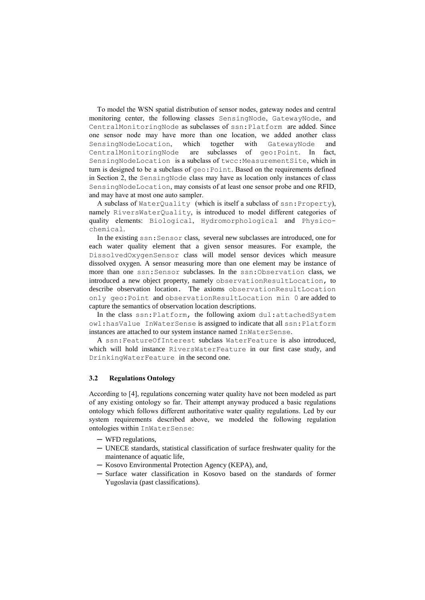To model the WSN spatial distribution of sensor nodes, gateway nodes and central monitoring center, the following classes SensingNode, GatewayNode, and CentralMonitoringNode as subclasses of ssn:Platform are added. Since one sensor node may have more than one location, we added another class SensingNodeLocation, which together with GatewayNode and CentralMonitoringNode are subclasses of geo:Point. In fact, SensingNodeLocation is a subclass of twcc:MeasurementSite, which in turn is designed to be a subclass of geo:Point. Based on the requirements defined in Section 2, the SensingNode class may have as location only instances of class SensingNodeLocation, may consists of at least one sensor probe and one RFID, and may have at most one auto sampler.

A subclass of WaterQuality (which is itself a subclass of ssn:Property), namely RiversWaterQuality, is introduced to model different categories of quality elements: Biological, Hydromorphological and Physicochemical.

In the existing ssn:Sensor class, several new subclasses are introduced, one for each water quality element that a given sensor measures. For example, the DissolvedOxygenSensor class will model sensor devices which measure dissolved oxygen. A sensor measuring more than one element may be instance of more than one ssn:Sensor subclasses. In the ssn:Observation class, we introduced a new object property, namely observationResultLocation, to describe observation location. The axioms observationResultLocation only geo:Point and observationResultLocation min 0 are added to capture the semantics of observation location descriptions.

In the class ssn:Platform, the following axiom dul:attachedSystem owl:hasValue InWaterSense is assigned to indicate that all ssn:Platform instances are attached to our system instance named InWaterSense.

A ssn:FeatureOfInterest subclass WaterFeature is also introduced, which will hold instance RiversWaterFeature in our first case study, and DrinkingWaterFeature in the second one.

## **3.2 Regulations Ontology**

According to [4], regulations concerning water quality have not been modeled as part of any existing ontology so far. Their attempt anyway produced a basic regulations ontology which follows different authoritative water quality regulations. Led by our system requirements described above, we modeled the following regulation ontologies within InWaterSense:

- ─ WFD regulations,
- ─ UNECE standards, statistical classification of surface freshwater quality for the maintenance of aquatic life,
- ─ Kosovo Environmental Protection Agency (KEPA), and,
- ─ Surface water classification in Kosovo based on the standards of former Yugoslavia (past classifications).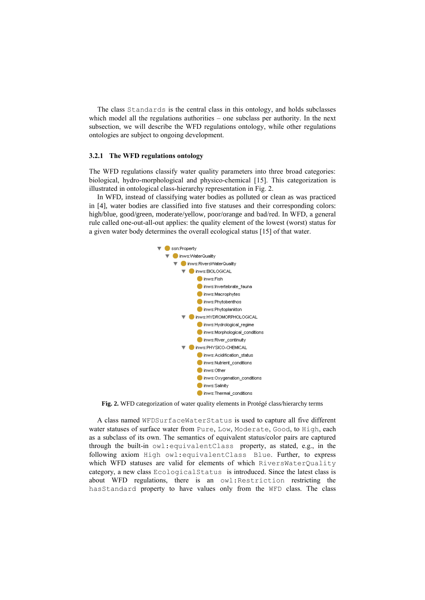The class Standards is the central class in this ontology, and holds subclasses which model all the regulations authorities – one subclass per authority. In the next subsection, we will describe the WFD regulations ontology, while other regulations ontologies are subject to ongoing development.

#### **3.2.1 The WFD regulations ontology**

The WFD regulations classify water quality parameters into three broad categories: biological, hydro-morphological and physico-chemical [15]. This categorization is illustrated in ontological class-hierarchy representation in Fig. 2.

In WFD, instead of classifying water bodies as polluted or clean as was practiced in [4], water bodies are classified into five statuses and their corresponding colors: high/blue, good/green, moderate/yellow, poor/orange and bad/red. In WFD, a general rule called one-out-all-out applies: the quality element of the lowest (worst) status for a given water body determines the overall ecological status [15] of that water.



**Fig. 2.** WFD categorization of water quality elements in Protégé class/hierarchy terms

A class named WFDSurfaceWaterStatus is used to capture all five different water statuses of surface water from Pure, Low, Moderate, Good, to High, each as a subclass of its own. The semantics of equivalent status/color pairs are captured through the built-in owl:equivalentClass property, as stated, e.g., in the following axiom High owl:equivalentClass Blue. Further, to express which WFD statuses are valid for elements of which RiversWaterQuality category, a new class EcologicalStatus is introduced. Since the latest class is about WFD regulations, there is an owl:Restriction restricting the hasStandard property to have values only from the WFD class. The class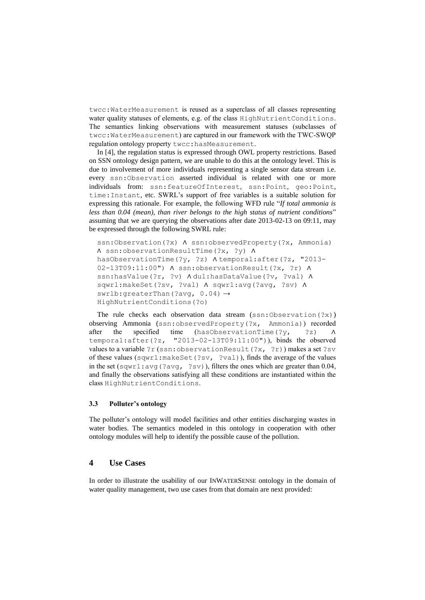twcc:WaterMeasurement is reused as a superclass of all classes representing water quality statuses of elements, e.g. of the class HighNutrientConditions. The semantics linking observations with measurement statuses (subclasses of twcc:WaterMeasurement) are captured in our framework with the TWC-SWQP regulation ontology property twcc:hasMeasurement.

In [4], the regulation status is expressed through OWL property restrictions. Based on SSN ontology design pattern, we are unable to do this at the ontology level. This is due to involvement of more individuals representing a single sensor data stream i.e. every ssn:Observation asserted individual is related with one or more individuals from: ssn:featureOfInterest, ssn:Point, geo:Point, time:Instant, etc. SWRL's support of free variables is a suitable solution for expressing this rationale. For example, the following WFD rule "*If total ammonia is less than 0.04 (mean), than river belongs to the high status of nutrient conditions*" assuming that we are querying the observations after date 2013-02-13 on 09:11, may be expressed through the following SWRL rule:

```
ssn:Observation(?x) A ssn:observedProperty(?x, Ammonia)
∧ ssn:observationResultTime(?x, ?y) ∧
hasObservationTime(?y, ?z) ∧ temporal:after(?z, "2013-
02-13T09:11:00") ∧ ssn:observationResult(?x, ?r) ∧
ssn:hasValue(?r, ?v) A dul:hasDataValue(?v, ?val) A
sqwrl:makeSet(?sv, ?val) ∧ sqwrl:avg(?avg, ?sv) ∧
swrlb:greaterThan(?avg, 0.04) \rightarrowHighNutrientConditions(?o)
```
The rule checks each observation data stream (ssn:Observation(?x)) observing Ammonia (ssn:observedProperty(?x, Ammonia)) recorded after the specified time (hasObservationTime(?y, ?z) ∧ temporal:after(?z, "2013-02-13T09:11:00")), binds the observed values to a variable ?r (ssn:observationResult(?x, ?r)) makes a set ?sv of these values (sqwrl:makeSet(?sv, ?val)), finds the average of the values in the set (sqwrl:avg(?avg, ?sv)), filters the ones which are greater than 0.04, and finally the observations satisfying all these conditions are instantiated within the class HighNutrientConditions.

#### **3.3 Polluter's ontology**

The polluter's ontology will model facilities and other entities discharging wastes in water bodies. The semantics modeled in this ontology in cooperation with other ontology modules will help to identify the possible cause of the pollution.

## **4 Use Cases**

In order to illustrate the usability of our INWATERSENSE ontology in the domain of water quality management, two use cases from that domain are next provided: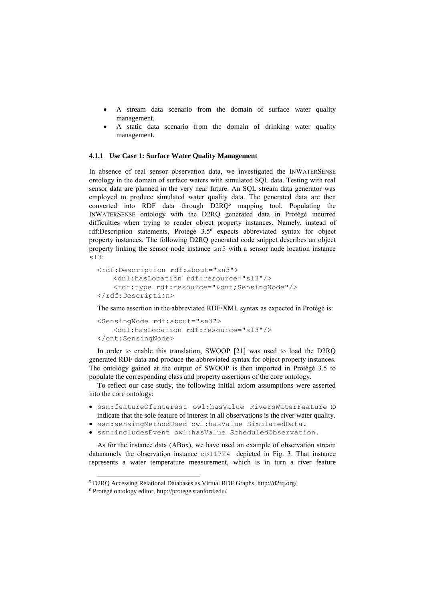- A stream data scenario from the domain of surface water quality management.
- A static data scenario from the domain of drinking water quality management.

#### **4.1.1 Use Case 1: Surface Water Quality Management**

In absence of real sensor observation data, we investigated the INWATERSENSE ontology in the domain of surface waters with simulated SQL data. Testing with real sensor data are planned in the very near future. An SQL stream data generator was employed to produce simulated water quality data. The generated data are then converted into RDF data through  $D2RQ<sup>5</sup>$  mapping tool. Populating the INWATERSENSE ontology with the D2RQ generated data in Protégé incurred difficulties when trying to render object property instances. Namely, instead of rdf:Description statements, Protégé 3.5<sup>6</sup> expects abbreviated syntax for object property instances. The following D2RQ generated code snippet describes an object property linking the sensor node instance sn3 with a sensor node location instance sl3:

```
<rdf:Description rdf:about="sn3">
   <dul:hasLocation rdf:resource="sl3"/>
   <rdf:type rdf:resource="&ont;SensingNode"/>
</rdf:Description>
```
The same assertion in the abbreviated RDF/XML syntax as expected in Protégé is:

```
<SensingNode rdf:about="sn3">
   <dul:hasLocation rdf:resource="sl3"/>
</ont:SensingNode>
```
In order to enable this translation, SWOOP [21] was used to load the D2RQ generated RDF data and produce the abbreviated syntax for object property instances. The ontology gained at the output of SWOOP is then imported in Protégé 3.5 to populate the corresponding class and property assertions of the core ontology.

To reflect our case study, the following initial axiom assumptions were asserted into the core ontology:

- ssn:featureOfInterest owl:hasValue RiversWaterFeature to indicate that the sole feature of interest in all observations is the river water quality.
- ssn:sensingMethodUsed owl:hasValue SimulatedData.
- ssn:includesEvent owl:hasValue ScheduledObservation.

As for the instance data (ABox), we have used an example of observation stream datanamely the observation instance  $\infty$  011724 depicted in Fig. 3. That instance represents a water temperature measurement, which is in turn a river feature

1

<sup>5</sup> D2RQ Accessing Relational Databases as Virtual RDF Graphs, http://d2rq.org/

<sup>6</sup> Protégé ontology editor, http://protege.stanford.edu/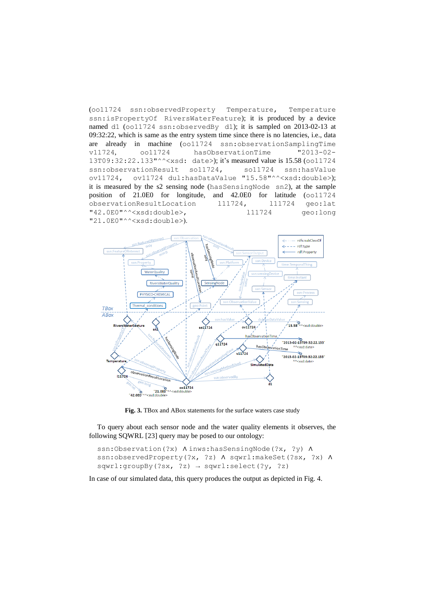(oo11724 ssn:observedProperty Temperature, Temperature ssn:isPropertyOf RiversWaterFeature); it is produced by a device named d1 (oo11724 ssn:observedBy d1); it is sampled on 2013-02-13 at 09:32:22, which is same as the entry system time since there is no latencies, i.e., data are already in machine (oo11724 ssn:observationSamplingTime v11724, oo11724 hasObservationTime "2013-02- 13T09:32:22.133"^^<xsd: date>); it's measured value is 15.58 (oo11724 ssn:observationResult so11724, so11724 ssn:hasValue ov11724, ov11724 dul:hasDataValue "15.58"^^<xsd:double>); it is measured by the s2 sensing node (hasSensingNode sn2), at the sample position of 21.0E0 for longitude, and 42.0E0 for latitude (oo11724 observationResultLocation 111724, 111724 geo:lat "42.0E0"^^<xsd:double>, l11724 geo:long "21.0E0"^^<xsd:double>).



**Fig. 3.** TBox and ABox statements for the surface waters case study

To query about each sensor node and the water quality elements it observes, the following SQWRL [23] query may be posed to our ontology:

```
ssn:Observation(?x) Ainws:hasSensingNode(?x, ?y) A
ssn:observedProperty(?x, ?z) ^ sqwrl:makeSet(?sx, ?x) ^
sqwrl:groupBy(?sx, ?z) \rightarrow sqwrl:select(?y, ?z)
```
In case of our simulated data, this query produces the output as depicted in Fig. 4.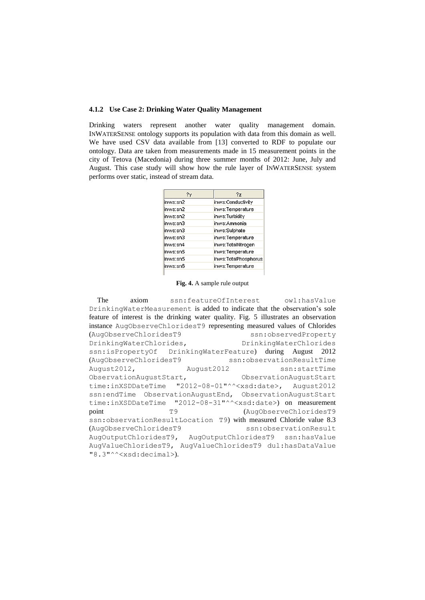#### **4.1.2 Use Case 2: Drinking Water Quality Management**

Drinking waters represent another water quality management domain. INWATERSENSE ontology supports its population with data from this domain as well. We have used CSV data available from [13] converted to RDF to populate our ontology. Data are taken from measurements made in 15 measurement points in the city of Tetova (Macedonia) during three summer months of 2012: June, July and August. This case study will show how the rule layer of INWATERSENSE system performs over static, instead of stream data.

| ?γ       | 27                   |
|----------|----------------------|
| inws:sn2 | inws:Conductivity    |
| inws:sn2 | inws:Temperature     |
| inws:sn2 | inws:Turbidity       |
| inws:sn3 | inws: Ammonia        |
| inws:sn3 | inws:Sulphate        |
| inws:sn3 | inws:Temperature     |
| inws:sn4 | inws:TotalNitrogen   |
| inws:sn5 | inws:Temperature     |
| inws:sn5 | inws:TotalPhosphorus |
| inws:sn6 | inws:Temperature     |

**Fig. 4.** A sample rule output

The axiom ssn:featureOfInterest owl:hasValue DrinkingWaterMeasurement is added to indicate that the observation's sole feature of interest is the drinking water quality. Fig. 5 illustrates an observation instance AugObserveChloridesT9 representing measured values of Chlorides (AugObserveChloridesT9 ssn:observedProperty DrinkingWaterChlorides, DrinkingWaterChlorides ssn:isPropertyOf DrinkingWaterFeature) during August 2012 (AugObserveChloridesT9 ssn:observationResultTime August2012, August2012 ssn:startTime ObservationAugustStart, ObservationAugustStart time:inXSDDateTime "2012-08-01"^^<xsd:date>, August2012 ssn:endTime ObservationAugustEnd, ObservationAugustStart time:inXSDDateTime "2012-08-31"^^<xsd:date>) on measurement point T9 T9 (AugObserveChloridesT9 ssn:observationResultLocation T9) with measured Chloride value 8.3 (AugObserveChloridesT9 ssn:observationResult AugOutputChloridesT9, AugOutputChloridesT9 ssn:hasValue AugValueChloridesT9, AugValueChloridesT9 dul:hasDataValue "8.3"^^<xsd:decimal>).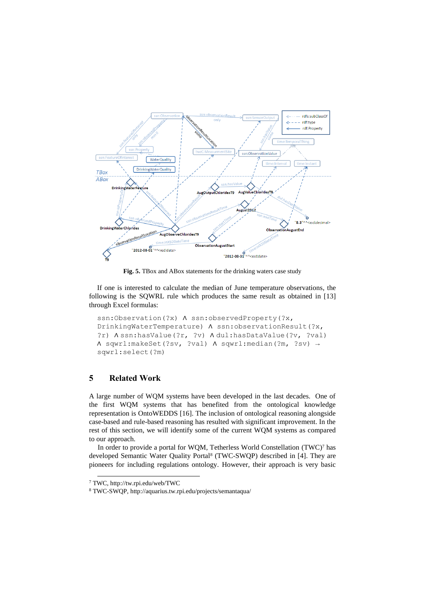

**Fig. 5.** TBox and ABox statements for the drinking waters case study

If one is interested to calculate the median of June temperature observations, the following is the SQWRL rule which produces the same result as obtained in [13] through Excel formulas:

```
ssn:Observation(?x) A ssn:observedProperty(?x,
DrinkingWaterTemperature) ∧ ssn:observationResult(?x, 
?r) ∧ ssn:hasValue(?r, ?v) ∧ dul:hasDataValue(?v, ?val) 
∧ sqwrl:makeSet(?sv, ?val) ∧ sqwrl:median(?m, ?sv) →
sqwrl:select(?m)
```
# **5 Related Work**

A large number of WQM systems have been developed in the last decades. One of the first WQM systems that has benefited from the ontological knowledge representation is OntoWEDDS [16]. The inclusion of ontological reasoning alongside case-based and rule-based reasoning has resulted with significant improvement. In the rest of this section, we will identify some of the current WQM systems as compared to our approach.

In order to provide a portal for WQM, Tetherless World Constellation (TWC)<sup>7</sup> has developed Semantic Water Quality Portal<sup>8</sup> (TWC-SWQP) described in [4]. They are pioneers for including regulations ontology. However, their approach is very basic

1

<sup>7</sup> TWC, http://tw.rpi.edu/web/TWC

<sup>8</sup> TWC-SWQP, http://aquarius.tw.rpi.edu/projects/semantaqua/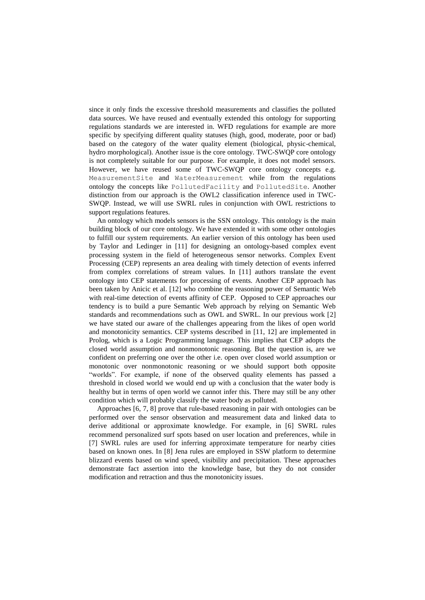since it only finds the excessive threshold measurements and classifies the polluted data sources. We have reused and eventually extended this ontology for supporting regulations standards we are interested in. WFD regulations for example are more specific by specifying different quality statuses (high, good, moderate, poor or bad) based on the category of the water quality element (biological, physic-chemical, hydro morphological). Another issue is the core ontology. TWC-SWQP core ontology is not completely suitable for our purpose. For example, it does not model sensors. However, we have reused some of TWC-SWQP core ontology concepts e.g. MeasurementSite and WaterMeasurement while from the regulations ontology the concepts like PollutedFacility and PollutedSite. Another distinction from our approach is the OWL2 classification inference used in TWC-SWQP. Instead, we will use SWRL rules in conjunction with OWL restrictions to support regulations features.

An ontology which models sensors is the SSN ontology. This ontology is the main building block of our core ontology. We have extended it with some other ontologies to fulfill our system requirements. An earlier version of this ontology has been used by Taylor and Ledinger in [11] for designing an ontology-based complex event processing system in the field of heterogeneous sensor networks. Complex Event Processing (CEP) represents an area dealing with timely detection of events inferred from complex correlations of stream values. In [11] authors translate the event ontology into CEP statements for processing of events. Another CEP approach has been taken by Anicic et al. [12] who combine the reasoning power of Semantic Web with real-time detection of events affinity of CEP. Opposed to CEP approaches our tendency is to build a pure Semantic Web approach by relying on Semantic Web standards and recommendations such as OWL and SWRL. In our previous work [2] we have stated our aware of the challenges appearing from the likes of open world and monotonicity semantics. CEP systems described in [11, 12] are implemented in Prolog, which is a Logic Programming language. This implies that CEP adopts the closed world assumption and nonmonotonic reasoning. But the question is, are we confident on preferring one over the other i.e. open over closed world assumption or monotonic over nonmonotonic reasoning or we should support both opposite "worlds". For example, if none of the observed quality elements has passed a threshold in closed world we would end up with a conclusion that the water body is healthy but in terms of open world we cannot infer this. There may still be any other condition which will probably classify the water body as polluted.

Approaches [6, 7, 8] prove that rule-based reasoning in pair with ontologies can be performed over the sensor observation and measurement data and linked data to derive additional or approximate knowledge. For example, in [6] SWRL rules recommend personalized surf spots based on user location and preferences, while in [7] SWRL rules are used for inferring approximate temperature for nearby cities based on known ones. In [8] Jena rules are employed in SSW platform to determine blizzard events based on wind speed, visibility and precipitation. These approaches demonstrate fact assertion into the knowledge base, but they do not consider modification and retraction and thus the monotonicity issues.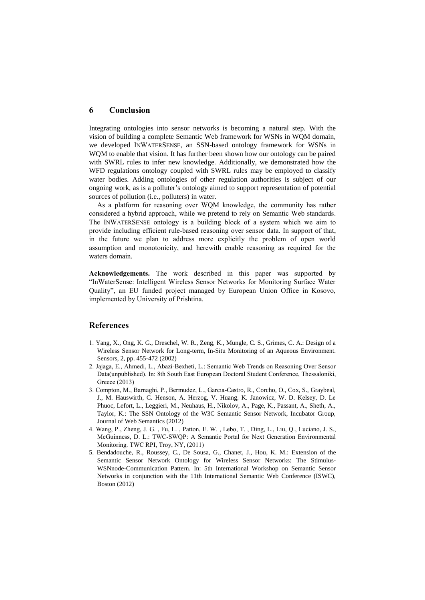#### **6 Conclusion**

Integrating ontologies into sensor networks is becoming a natural step. With the vision of building a complete Semantic Web framework for WSNs in WQM domain, we developed INWATERSENSE, an SSN-based ontology framework for WSNs in WQM to enable that vision. It has further been shown how our ontology can be paired with SWRL rules to infer new knowledge. Additionally, we demonstrated how the WFD regulations ontology coupled with SWRL rules may be employed to classify water bodies. Adding ontologies of other regulation authorities is subject of our ongoing work, as is a polluter's ontology aimed to support representation of potential sources of pollution (i.e., polluters) in water.

As a platform for reasoning over WQM knowledge, the community has rather considered a hybrid approach, while we pretend to rely on Semantic Web standards. The INWATERSENSE ontology is a building block of a system which we aim to provide including efficient rule-based reasoning over sensor data. In support of that, in the future we plan to address more explicitly the problem of open world assumption and monotonicity, and herewith enable reasoning as required for the waters domain.

**Acknowledgements.** The work described in this paper was supported by "InWaterSense: Intelligent Wireless Sensor Networks for Monitoring Surface Water Quality", an EU funded project managed by European Union Office in Kosovo, implemented by University of Prishtina.

## **References**

- 1. Yang, X., Ong, K. G., Dreschel, W. R., Zeng, K., Mungle, C. S., Grimes, C. A.: Design of a Wireless Sensor Network for Long-term, In-Situ Monitoring of an Aqueous Environment. Sensors, 2, pp. 455-472 (2002)
- 2. Jajaga, E., Ahmedi, L., Abazi-Bexheti, L.: Semantic Web Trends on Reasoning Over Sensor Data(unpublished). In: 8th South East European Doctoral Student Conference, Thessaloniki, Greece (2013)
- 3. Compton, M., Barnaghi, P., Bermudez, L., Garcıa-Castro, R., Corcho, O., Cox, S., Graybeal, J., M. Hauswirth, C. Henson, A. Herzog, V. Huang, K. Janowicz, W. D. Kelsey, D. Le Phuoc, Lefort, L., Leggieri, M., Neuhaus, H., Nikolov, A., Page, K., Passant, A., Sheth, A., Taylor, K.: The SSN Ontology of the W3C Semantic Sensor Network, Incubator Group, Journal of Web Semantics (2012)
- 4. Wang, P., Zheng, J. G. , Fu, L. , Patton, E. W. , Lebo, T. , Ding, L., Liu, Q., Luciano, J. S., McGuinness, D. L.: TWC-SWQP: A Semantic Portal for Next Generation Environmental Monitoring. TWC RPI, Troy, NY, (2011)
- 5. Bendadouche, R., Roussey, C., De Sousa, G., Chanet, J., Hou, K. M.: Extension of the Semantic Sensor Network Ontology for Wireless Sensor Networks: The Stimulus-WSNnode-Communication Pattern. In: 5th International Workshop on Semantic Sensor Networks in conjunction with the 11th International Semantic Web Conference (ISWC), Boston (2012)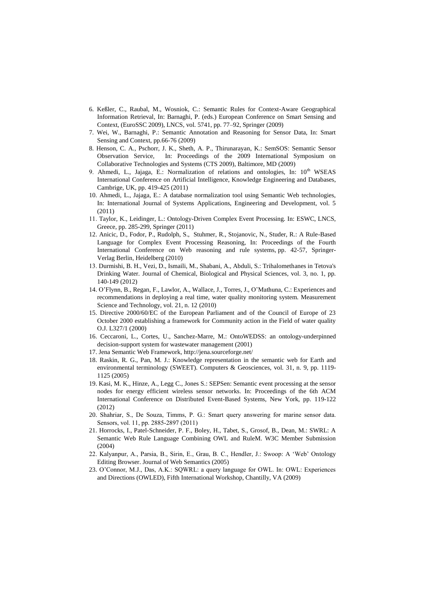- 6. Keßler, C., Raubal, M., Wosniok, C.: Semantic Rules for Context-Aware Geographical Information Retrieval, In: Barnaghi, P. (eds.) European Conference on Smart Sensing and Context, (EuroSSC 2009), LNCS, vol. 5741, pp. 77–92, Springer (2009)
- 7. Wei, W., Barnaghi, P.: Semantic Annotation and Reasoning for Sensor Data, In: Smart Sensing and Context, pp.66-76 (2009)
- 8. Henson, C. A., Pschorr, J. K., Sheth, A. P., Thirunarayan, K.: SemSOS: Semantic Sensor Observation Service, In: Proceedings of the 2009 International Symposium on Collaborative Technologies and Systems (CTS 2009), Baltimore, MD (2009)
- 9. Ahmedi, L., Jajaga, E.: Normalization of relations and ontologies, In:  $10^{th}$  WSEAS International Conference on Artificial Intelligence, Knowledge Engineering and Databases, Cambrige, UK, pp. 419-425 (2011)
- 10. Ahmedi, L., Jajaga, E.: A database normalization tool using Semantic Web technologies, In: International Journal of Systems Applications, Engineering and Development, vol. 5 (2011)
- 11. Taylor, K., Leidinger, L.: Ontology-Driven Complex Event Processing. In: ESWC, LNCS, Greece, pp. 285-299, Springer (2011)
- 12. Anicic, D., Fodor, P., Rudolph, S., Stuhmer, R., Stojanovic, N., Studer, R.: A Rule-Based Language for Complex Event Processing Reasoning, In: Proceedings of the Fourth International Conference on Web reasoning and rule systems, pp. 42-57, Springer-Verlag Berlin, Heidelberg (2010)
- 13. Durmishi, B. H., Vezi, D., Ismaili, M., Shabani, A., Abduli, S.: Trihalomethanes in Tetova's Drinking Water. Journal of Chemical, Biological and Physical Sciences, vol. 3, no. 1, pp. 140-149 (2012)
- 14. O'Flynn, B., Regan, F., Lawlor, A., Wallace, J., Torres, J., O'Mathuna, C.: Experiences and recommendations in deploying a real time, water quality monitoring system. Measurement Science and Technology, vol. 21, n. 12 (2010)
- 15. Directive 2000/60/EC of the European Parliament and of the Council of Europe of 23 October 2000 establishing a framework for Community action in the Field of water quality O.J. L327/1 (2000)
- 16. Ceccaroni, L., Cortes, U., Sanchez-Marre, M.: OntoWEDSS: an ontology-underpinned decision-support system for wastewater management (2001)
- 17. Jena Semantic Web Framework, http://jena.sourceforge.net/
- 18. Raskin, R. G., Pan, M. J.: Knowledge representation in the semantic web for Earth and environmental terminology (SWEET). Computers & Geosciences, vol. 31, n. 9, pp. 1119- 1125 (2005)
- 19. Kasi, M. K., Hinze, A., Legg C., Jones S.: SEPSen: Semantic event processing at the sensor nodes for energy efficient wireless sensor networks. In: Proceedings of the 6th ACM International Conference on Distributed Event-Based Systems, New York, pp. 119-122 (2012)
- 20. Shahriar, S., De Souza, Timms, P. G.: Smart query answering for marine sensor data. Sensors, vol. 11, pp. 2885-2897 (2011)
- 21. Horrocks, I., Patel-Schneider, P. F., Boley, H., Tabet, S., Grosof, B., Dean, M.: SWRL: A Semantic Web Rule Language Combining OWL and RuleM. W3C Member Submission (2004)
- 22. Kalyanpur, A., Parsia, B., Sirin, E., Grau, B. C., Hendler, J.: Swoop: A 'Web' Ontology Editing Browser. Journal of Web Semantics (2005)
- 23. O'Connor, M.J., Das, A.K.: SQWRL: a query language for OWL. In: OWL: Experiences and Directions (OWLED), Fifth International Workshop, Chantilly, VA (2009)